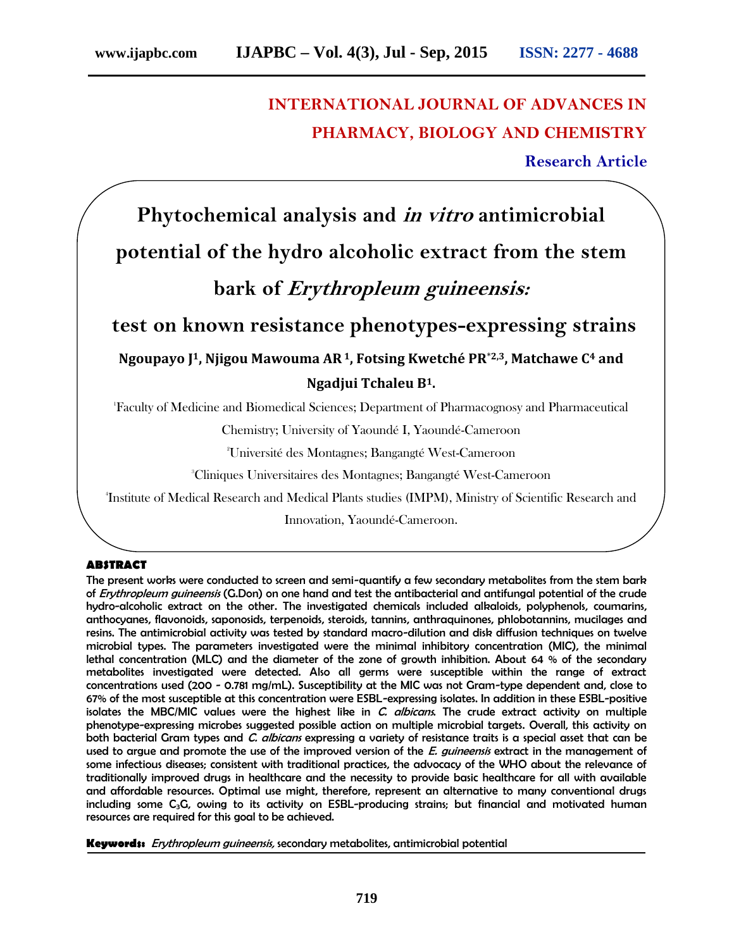# **INTERNATIONAL JOURNAL OF ADVANCES IN PHARMACY, BIOLOGY AND CHEMISTRY**

**Research Article**

# **Phytochemical analysis and** *in vitro* **antimicrobial potential of the hydro alcoholic extract from the stem bark of** *Erythropleum guineensis:*

**test on known resistance phenotypes-expressing strains Ngoupayo J1, Njigou Mawouma AR1, Fotsing Kwetché PR**\***2,3, Matchawe C<sup>4</sup> and**

# **Ngadjui Tchaleu B1.**

<sup>1</sup>Faculty of Medicine and Biomedical Sciences; Department of Pharmacognosy and Pharmaceutical

Chemistry; University of Yaoundé I, Yaoundé-Cameroon

<sup>2</sup>Université des Montagnes; Bangangté West-Cameroon

<sup>3</sup>Cliniques Universitaires des Montagnes; Bangangté West-Cameroon

<sup>4</sup>Institute of Medical Research and Medical Plants studies (IMPM), Ministry of Scientific Research and

Innovation, Yaoundé-Cameroon.

## **ABSTRACT**

The present works were conducted to screen and semi-quantify a few secondary metabolites from the stem bark of *Erythropleum guineensis* (G.Don) on one hand and test the antibacterial and antifungal potential of the crude hydro-alcoholic extract on the other. The investigated chemicals included alkaloids, polyphenols, coumarins, anthocyanes, flavonoids, saponosids, terpenoids, steroids, tannins, anthraquinones, phlobotannins, mucilages and resins. The antimicrobial activity was tested by standard macro-dilution and disk diffusion techniques on twelve microbial types. The parameters investigated were the minimal inhibitory concentration (MIC), the minimal lethal concentration (MLC) and the diameter of the zone of growth inhibition. About 64 % of the secondary metabolites investigated were detected. Also all germs were susceptible within the range of extract concentrations used (200 - 0.781 mg/mL). Susceptibility at the MIC was not Gram-type dependent and, close to 67% of the most susceptible at this concentration were ESBL-expressing isolates. In addition in these ESBL-positive isolates the MBC/MIC values were the highest like in *C. albicans*. The crude extract activity on multiple phenotype-expressing microbes suggested possible action on multiple microbial targets. Overall, this activity on both bacterial Gram types and *C. albicans* expressing a variety of resistance traits is a special asset that can be used to argue and promote the use of the improved version of the *E. guineensis* extract in the management of some infectious diseases; consistent with traditional practices, the advocacy of the WHO about the relevance of traditionally improved drugs in healthcare and the necessity to provide basic healthcare for all with available and affordable resources. Optimal use might, therefore, represent an alternative to many conventional drugs including some  $C_3G$ , owing to its activity on ESBL-producing strains; but financial and motivated human resources are required for this goal to be achieved.

**Keywords:** *Erythropleum guineensis,* secondary metabolites, antimicrobial potential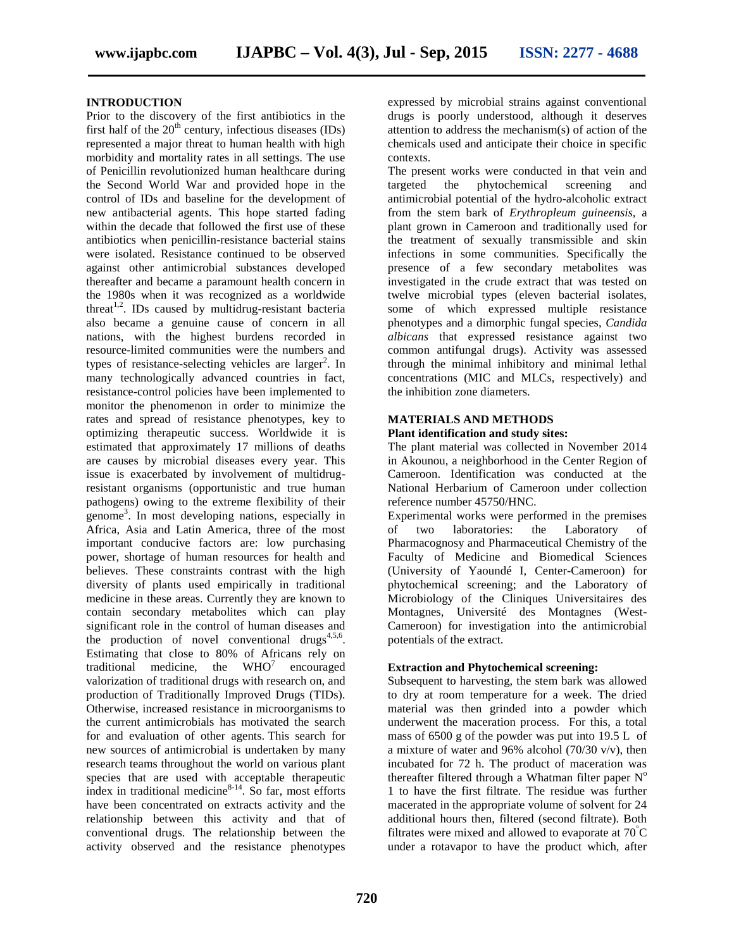## **INTRODUCTION**

Prior to the discovery of the first antibiotics in the first half of the  $20<sup>th</sup>$  century, infectious diseases (IDs) represented a major threat to human health with high morbidity and mortality rates in all settings. The use of Penicillin revolutionized human healthcare during the Second World War and provided hope in the control of IDs and baseline for the development of new antibacterial agents. This hope started fading within the decade that followed the first use of these antibiotics when penicillin-resistance bacterial stains were isolated. Resistance continued to be observed against other antimicrobial substances developed thereafter and became a paramount health concern in the 1980s when it was recognized as a worldwide threat<sup>1,2</sup>. IDs caused by multidrug-resistant bacteria also became a genuine cause of concern in all nations, with the highest burdens recorded in resource-limited communities were the numbers and types of resistance-selecting vehicles are larger<sup>2</sup>. In many technologically advanced countries in fact, resistance-control policies have been implemented to monitor the phenomenon in order to minimize the rates and spread of resistance phenotypes, key to optimizing therapeutic success. Worldwide it is estimated that approximately 17 millions of deaths are causes by microbial diseases every year. This issue is exacerbated by involvement of multidrugresistant organisms (opportunistic and true human pathogens) owing to the extreme flexibility of their genome<sup>3</sup> . In most developing nations, especially in Africa, Asia and Latin America, three of the most important conducive factors are: low purchasing power, shortage of human resources for health and believes. These constraints contrast with the high diversity of plants used empirically in traditional medicine in these areas. Currently they are known to contain secondary metabolites which can play significant role in the control of human diseases and the production of novel conventional drugs<sup>4,5,6</sup>. Estimating that close to 80% of Africans rely on traditional medicine, the  $WHO<sup>7</sup>$  encouraged valorization of traditional drugs with research on, and production of Traditionally Improved Drugs (TIDs). Otherwise, increased resistance in microorganisms to the current antimicrobials has motivated the search for and evaluation of other agents. This search for new sources of antimicrobial is undertaken by many research teams throughout the world on various plant species that are used with acceptable therapeutic index in traditional medicine $8-14$ . So far, most efforts have been concentrated on extracts activity and the relationship between this activity and that of conventional drugs. The relationship between the activity observed and the resistance phenotypes

expressed by microbial strains against conventional drugs is poorly understood, although it deserves attention to address the mechanism(s) of action of the chemicals used and anticipate their choice in specific contexts.

The present works were conducted in that vein and targeted the phytochemical screening and antimicrobial potential of the hydro-alcoholic extract from the stem bark of *Erythropleum guineensis,* a plant grown in Cameroon and traditionally used for the treatment of sexually transmissible and skin infections in some communities. Specifically the presence of a few secondary metabolites was investigated in the crude extract that was tested on twelve microbial types (eleven bacterial isolates, some of which expressed multiple resistance phenotypes and a dimorphic fungal species, *Candida albicans* that expressed resistance against two common antifungal drugs). Activity was assessed through the minimal inhibitory and minimal lethal concentrations (MIC and MLCs, respectively) and the inhibition zone diameters.

#### **MATERIALS AND METHODS**

#### **Plant identification and study sites:**

The plant material was collected in November 2014 in Akounou, a neighborhood in the Center Region of Cameroon. Identification was conducted at the National Herbarium of Cameroon under collection reference number 45750/HNC.

Experimental works were performed in the premises of two laboratories: the Laboratory of Pharmacognosy and Pharmaceutical Chemistry of the Faculty of Medicine and Biomedical Sciences (University of Yaoundé I, Center-Cameroon) for phytochemical screening; and the Laboratory of Microbiology of the Cliniques Universitaires des Montagnes, Université des Montagnes (West- Cameroon) for investigation into the antimicrobial potentials of the extract.

#### **Extraction and Phytochemical screening:**

Subsequent to harvesting, the stem bark was allowed to dry at room temperature for a week. The dried material was then grinded into a powder which underwent the maceration process. For this, a total mass of 6500 g of the powder was put into 19.5 L of a mixture of water and 96% alcohol  $(70/30 \text{ v/v})$ , then incubated for 72 h. The product of maceration was thereafter filtered through a Whatman filter paper  $N^{\circ}$ 1 to have the first filtrate. The residue was further macerated in the appropriate volume of solvent for 24 additional hours then, filtered (second filtrate). Both filtrates were mixed and allowed to evaporate at  $70^{\circ}$ C under a rotavapor to have the product which, after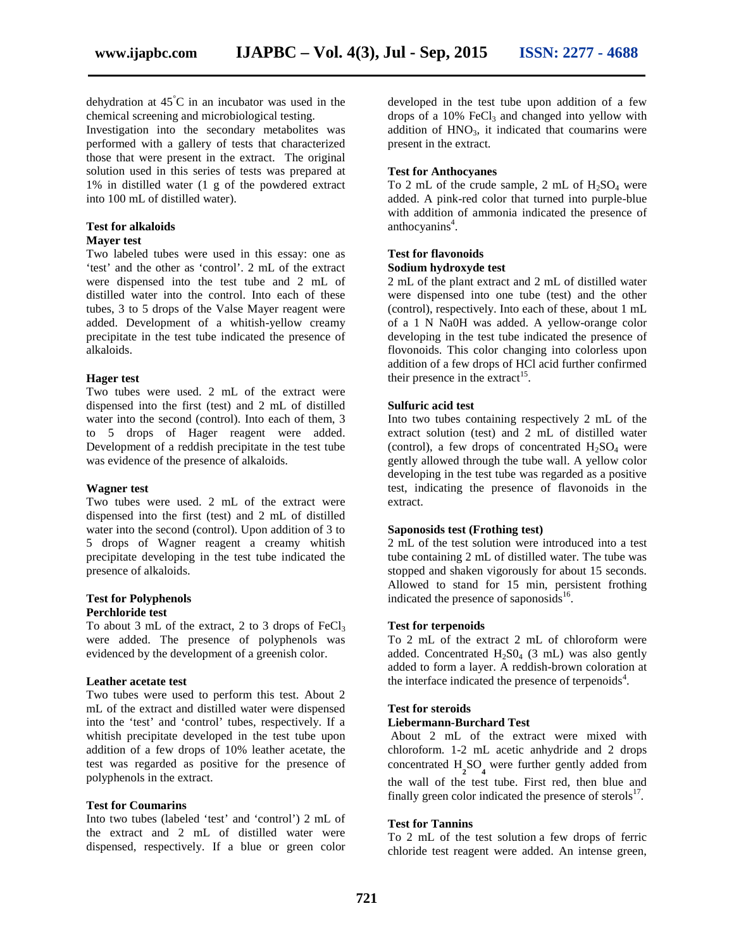dehydration at  $45^{\circ}$ C in an incubator was used in the chemical screening and microbiological testing.

Investigation into the secondary metabolites was performed with a gallery of tests that characterized those that were present in the extract. The original solution used in this series of tests was prepared at 1% in distilled water (1 g of the powdered extract into 100 mL of distilled water).

#### **Test for alkaloids**

#### **Mayer test**

Two labeled tubes were used in this essay: one as 'test' and the other as 'control'. 2 mL of the extract were dispensed into the test tube and 2 mL of distilled water into the control. Into each of these tubes, 3 to 5 drops of the Valse Mayer reagent were added. Development of a whitish-yellow creamy precipitate in the test tube indicated the presence of alkaloids.

#### **Hager test**

Two tubes were used. 2 mL of the extract were dispensed into the first (test) and 2 mL of distilled water into the second (control). Into each of them, 3 to 5 drops of Hager reagent were added. Development of a reddish precipitate in the test tube was evidence of the presence of alkaloids.

#### **Wagner test**

Two tubes were used. 2 mL of the extract were dispensed into the first (test) and 2 mL of distilled water into the second (control). Upon addition of 3 to 5 drops of Wagner reagent a creamy whitish precipitate developing in the test tube indicated the presence of alkaloids.

#### **Test for Polyphenols Perchloride test**

To about 3 mL of the extract, 2 to 3 drops of  $FeCl<sub>3</sub>$ were added. The presence of polyphenols was evidenced by the development of a greenish color.

#### **Leather acetate test**

Two tubes were used to perform this test. About 2 mL of the extract and distilled water were dispensed into the 'test' and 'control' tubes, respectively. If a whitish precipitate developed in the test tube upon addition of a few drops of 10% leather acetate, the test was regarded as positive for the presence of polyphenols in the extract.

#### **Test for Coumarins**

Into two tubes (labeled 'test' and 'control') 2 mL of the extract and 2 mL of distilled water were dispensed, respectively. If a blue or green color developed in the test tube upon addition of a few drops of a  $10\%$  FeCl<sub>3</sub> and changed into yellow with addition of  $HNO<sub>3</sub>$ , it indicated that coumarins were present in the extract.

#### **Test for Anthocyanes**

To 2 mL of the crude sample, 2 mL of  $H_2SO_4$  were added. A pink-red color that turned into purple-blue with addition of ammonia indicated the presence of anthocyanins<sup>4</sup>.

#### **Test for flavonoids**

#### **Sodium hydroxyde test**

2 mL of the plant extract and 2 mL of distilled water were dispensed into one tube (test) and the other (control), respectively. Into each of these, about 1 mL of a 1 N Na0H was added. A yellow-orange color developing in the test tube indicated the presence of flovonoids. This color changing into colorless upon addition of a few drops of HCl acid further confirmed their presence in the extract<sup>15</sup>.

#### **Sulfuric acid test**

Into two tubes containing respectively 2 mL of the extract solution (test) and 2 mL of distilled water (control), a few drops of concentrated  $H_2SO_4$  were gently allowed through the tube wall. A yellow color developing in the test tube was regarded as a positive test, indicating the presence of flavonoids in the extract.

#### **Saponosids test (Frothing test)**

2 mL of the test solution were introduced into a test tube containing 2 mL of distilled water. The tube was stopped and shaken vigorously for about 15 seconds. Allowed to stand for 15 min, persistent frothing indicated the presence of saponosids<sup>16</sup>.

#### **Test for terpenoids**

To 2 mL of the extract 2 mL of chloroform were added. Concentrated  $H_2SO_4$  (3 mL) was also gently added to form a layer. A reddish-brown coloration at the interface indicated the presence of terpenoids<sup>4</sup>.

#### **Test for steroids**

#### **Liebermann-Burchard Test**

About 2 mL of the extract were mixed with chloroform. 1-2 mL acetic anhydride and 2 drops concentrated  $H_2SO_4$  were further gently added from the wall of the test tube. First red, then blue and finally green color indicated the presence of sterols<sup>17</sup>.

#### **Test for Tannins**

To 2 mL of the test solution a few drops of ferric chloride test reagent were added. An intense green,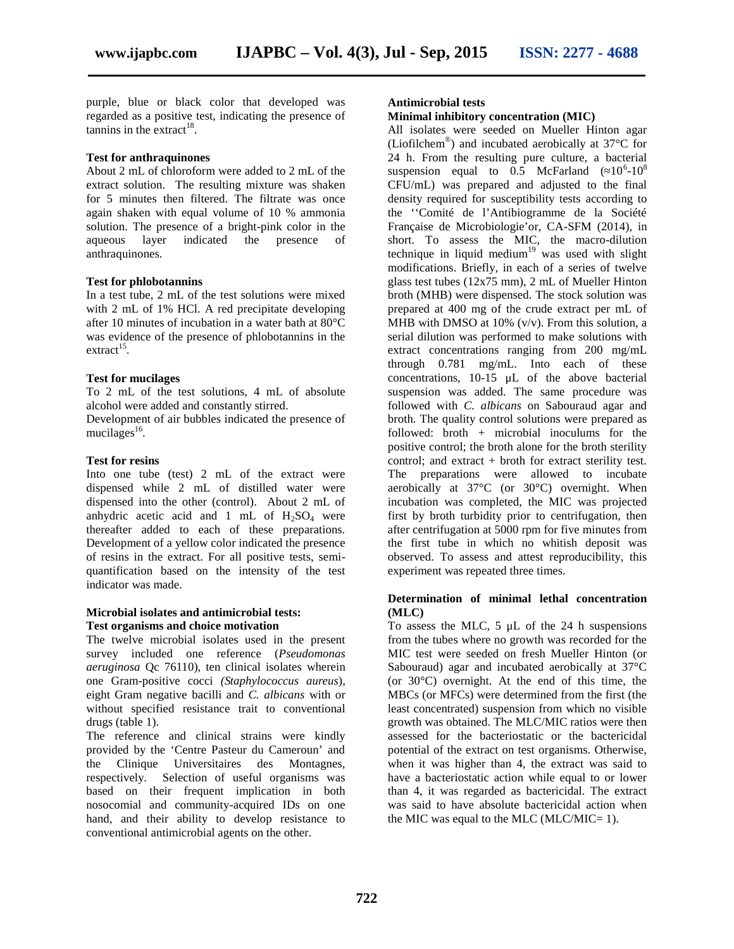purple, blue or black color that developed was regarded as a positive test, indicating the presence of  $\tanh$  tannins in the extract<sup>18</sup>.

#### **Test for anthraquinones**

About 2 mL of chloroform were added to 2 mL of the extract solution. The resulting mixture was shaken for 5 minutes then filtered. The filtrate was once again shaken with equal volume of 10 % ammonia solution. The presence of a bright-pink color in the aqueous layer indicated the presence of anthraquinones.

#### **Test for phlobotannins**

In a test tube, 2 mL of the test solutions were mixed with 2 mL of 1% HCl. A red precipitate developing after 10 minutes of incubation in a water bath at 80°C was evidence of the presence of phlobotannins in the  $extract<sup>15</sup>$ .

#### **Test for mucilages**

To 2 mL of the test solutions, 4 mL of absolute alcohol were added and constantly stirred.

Development of air bubbles indicated the presence of  $mucilages<sup>16</sup>$ .

#### **Test for resins**

Into one tube (test) 2 mL of the extract were dispensed while 2 mL of distilled water were dispensed into the other (control). About 2 mL of anhydric acetic acid and 1 mL of  $H_2SO_4$  were thereafter added to each of these preparations. Development of a yellow color indicated the presence of resins in the extract. For all positive tests, semi quantification based on the intensity of the test indicator was made.

#### **Microbial isolates and antimicrobial tests: Test organisms and choice motivation**

The twelve microbial isolates used in the present survey included one reference (*Pseudomonas aeruginosa* Qc 76110), ten clinical isolates wherein one Gram-positive cocci *(Staphylococcus aureus*)*,* eight Gram negative bacilli and *C. albicans* with or without specified resistance trait to conventional drugs (table 1).

The reference and clinical strains were kindly provided by the 'Centre Pasteur du Cameroun' and the Clinique Universitaires des Montagnes, respectively. Selection of useful organisms was based on their frequent implication in both nosocomial and community-acquired IDs on one hand, and their ability to develop resistance to conventional antimicrobial agents on the other.

#### **Antimicrobial tests**

#### **Minimal inhibitory concentration (MIC)**

All isolates were seeded on Mueller Hinton agar (Liofilchem® ) and incubated aerobically at 37°C for 24 h. From the resulting pure culture, a bacterial suspension equal to  $0.5$  McFarland ( $10^6$ - $10^8$ CFU/mL) was prepared and adjusted to the final density required for susceptibility tests according to the ''Comité de l'Antibiogramme de la Société Française de Microbiologie'or, CA-SFM (2014), in short. To assess the MIC, the macro-dilution technique in liquid medium<sup>19</sup> was used with slight modifications. Briefly, in each of a series of twelve glass test tubes (12x75 mm), 2 mL of Mueller Hinton broth (MHB) were dispensed. The stock solution was prepared at 400 mg of the crude extract per mL of MHB with DMSO at 10% (v/v). From this solution, a serial dilution was performed to make solutions with extract concentrations ranging from 200 mg/mL through 0.781 mg/mL. Into each of these concentrations, 10-15 μL of the above bacterial suspension was added. The same procedure was followed with *C. albicans* on Sabouraud agar and broth. The quality control solutions were prepared as followed: broth *+* microbial inoculums for the positive control; the broth alone for the broth sterility control; and extract + broth for extract sterility test. The preparations were allowed to incubate aerobically at 37°C (or 30°C) overnight. When incubation was completed, the MIC was projected first by broth turbidity prior to centrifugation, then after centrifugation at 5000 rpm for five minutes from the first tube in which no whitish deposit was observed. To assess and attest reproducibility, this experiment was repeated three times.

#### **Determination of minimal lethal concentration (MLC)**

To assess the MLC, 5 μL of the 24 h suspensions from the tubes where no growth was recorded for the MIC test were seeded on fresh Mueller Hinton (or Sabouraud) agar and incubated aerobically at 37°C (or  $30^{\circ}$ C) overnight. At the end of this time, the MBCs (or MFCs) were determined from the first (the least concentrated) suspension from which no visible growth was obtained. The MLC/MIC ratios were then assessed for the bacteriostatic or the bactericidal potential of the extract on test organisms. Otherwise, when it was higher than 4, the extract was said to have a bacteriostatic action while equal to or lower than 4, it was regarded as bactericidal. The extract was said to have absolute bactericidal action when the MIC was equal to the MLC (MLC/MIC=  $1$ ).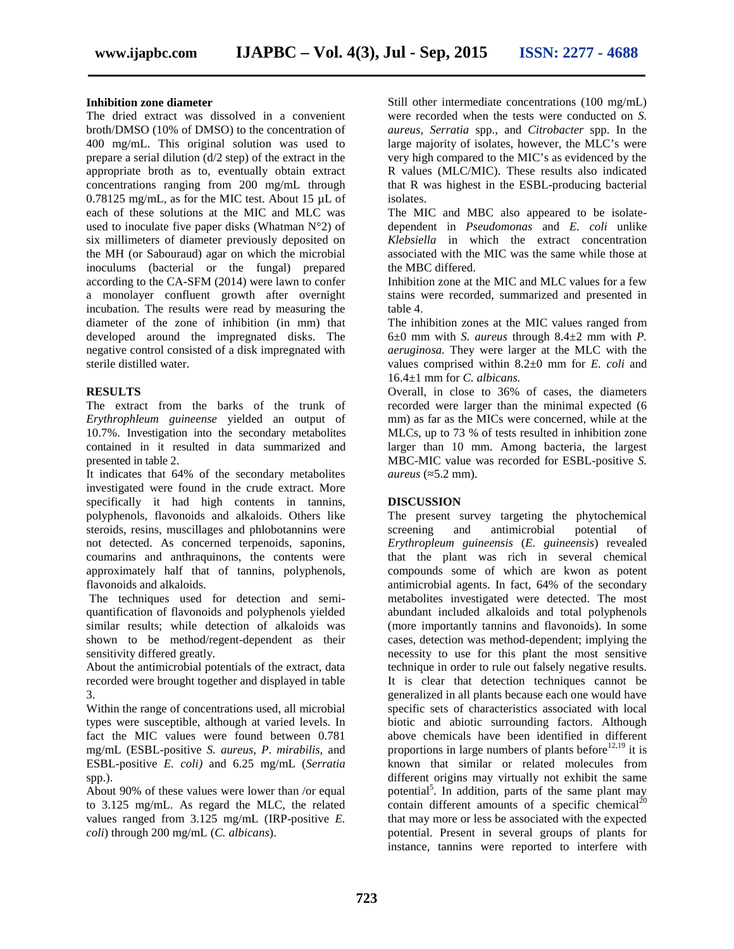#### **Inhibition zone diameter**

The dried extract was dissolved in a convenient broth/DMSO (10% of DMSO) to the concentration of 400 mg/mL. This original solution was used to prepare a serial dilution (d/2 step) of the extract in the appropriate broth as to, eventually obtain extract concentrations ranging from 200 mg/mL through 0.78125 mg/mL, as for the MIC test. About 15 µL of each of these solutions at the MIC and MLC was used to inoculate five paper disks (Whatman N°2) of six millimeters of diameter previously deposited on the MH (or Sabouraud) agar on which the microbial inoculums (bacterial or the fungal) prepared according to the CA-SFM (2014) were lawn to confer a monolayer confluent growth after overnight incubation. The results were read by measuring the diameter of the zone of inhibition (in mm) that developed around the impregnated disks. The negative control consisted of a disk impregnated with sterile distilled water.

#### **RESULTS**

The extract from the barks of the trunk of *Erythrophleum guineense* yielded an output of 10.7%. Investigation into the secondary metabolites contained in it resulted in data summarized and presented in table 2.

It indicates that 64% of the secondary metabolites investigated were found in the crude extract. More specifically it had high contents in tannins, polyphenols, flavonoids and alkaloids. Others like steroids, resins, muscillages and phlobotannins were not detected. As concerned terpenoids, saponins, coumarins and anthraquinons, the contents were approximately half that of tannins, polyphenols, flavonoids and alkaloids.

The techniques used for detection and semi quantification of flavonoids and polyphenols yielded similar results; while detection of alkaloids was shown to be method/regent-dependent as their sensitivity differed greatly.

About the antimicrobial potentials of the extract, data recorded were brought together and displayed in table 3.

Within the range of concentrations used, all microbial types were susceptible, although at varied levels. In fact the MIC values were found between 0.781 mg/mL (ESBL-positive *S. aureus*, *P. mirabilis*, and ESBL-positive *E. coli)* and 6.25 mg/mL (*Serratia* spp.).

About 90% of these values were lower than /or equal to 3.125 mg/mL. As regard the MLC, the related values ranged from 3.125 mg/mL (IRP-positive *E. coli*) through 200 mg/mL (*C. albicans*).

Still other intermediate concentrations (100 mg/mL) were recorded when the tests were conducted on *S. aureus, Serratia* spp., and *Citrobacter* spp. In the large majority of isolates, however, the MLC's were very high compared to the MIC's as evidenced by the R values (MLC/MIC). These results also indicated that R was highest in the ESBL-producing bacterial isolates.

The MIC and MBC also appeared to be isolate dependent in *Pseudomonas* and *E. coli* unlike *Klebsiella* in which the extract concentration associated with the MIC was the same while those at the MBC differed.

Inhibition zone at the MIC and MLC values for a few stains were recorded, summarized and presented in table 4.

The inhibition zones at the MIC values ranged from 6±0 mm with *S. aureus* through 8.4±2 mm with *P. aeruginosa.* They were larger at the MLC with the values comprised within 8.2±0 mm for *E. coli* and 16.4±1 mm for *C. albicans.*

Overall, in close to 36% of cases, the diameters recorded were larger than the minimal expected (6 mm) as far as the MICs were concerned, while at the MLCs, up to 73 % of tests resulted in inhibition zone larger than 10 mm. Among bacteria, the largest MBC-MIC value was recorded for ESBL-positive *S. aureus* (≈5.2 mm).

# **DISCUSSION**

The present survey targeting the phytochemical screening and antimicrobial potential of *Erythropleum guineensis* (*E. guineensis*) revealed that the plant was rich in several chemical compounds some of which are kwon as potent antimicrobial agents. In fact, 64% of the secondary metabolites investigated were detected. The most abundant included alkaloids and total polyphenols (more importantly tannins and flavonoids). In some cases, detection was method-dependent; implying the necessity to use for this plant the most sensitive technique in order to rule out falsely negative results. It is clear that detection techniques cannot be generalized in all plants because each one would have specific sets of characteristics associated with local biotic and abiotic surrounding factors. Although above chemicals have been identified in different proportions in large numbers of plants before<sup>12,19</sup> it is known that similar or related molecules from different origins may virtually not exhibit the same potential<sup>5</sup>. In addition, parts of the same plant may contain different amounts of a specific chemical<sup>20</sup> that may more or less be associated with the expected potential. Present in several groups of plants for instance, tannins were reported to interfere with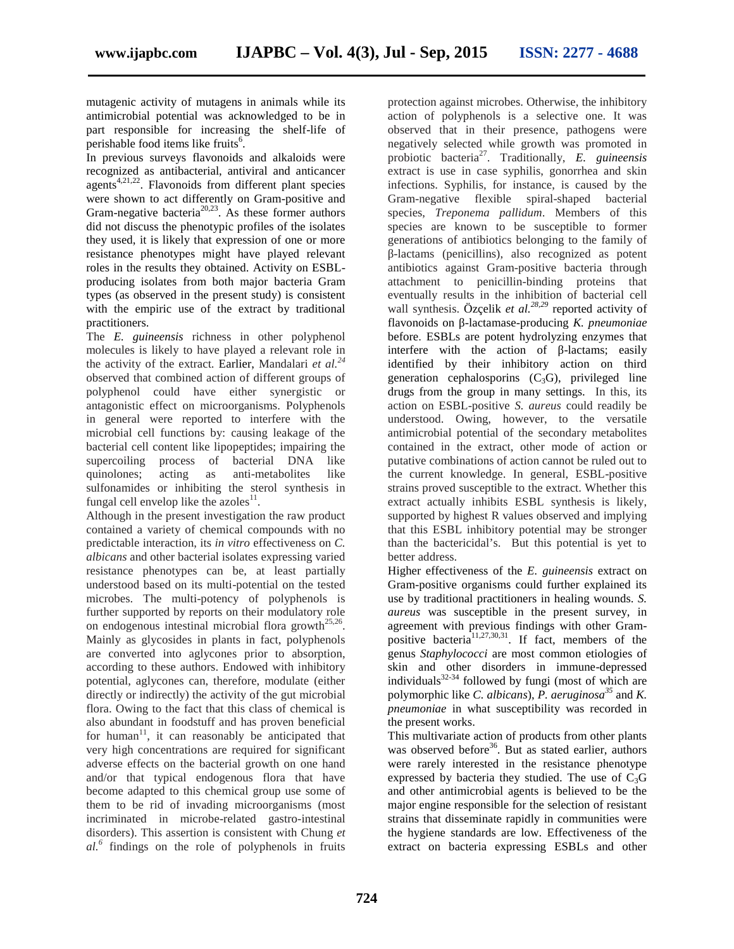mutagenic activity of mutagens in animals while its antimicrobial potential was acknowledged to be in part responsible for increasing the shelf-life of perishable food items like fruits<sup>6</sup>.

In previous surveys flavonoids and alkaloids were recognized as antibacterial, antiviral and anticancer  $a_{4,21,22}$ . Flavonoids from different plant species were shown to act differently on Gram-positive and Gram-negative bacteria<sup>20,23</sup>. As these former authors did not discuss the phenotypic profiles of the isolates they used, it is likely that expression of one or more resistance phenotypes might have played relevant roles in the results they obtained. Activity on ESBL producing isolates from both major bacteria Gram types (as observed in the present study) is consistent with the empiric use of the extract by traditional practitioners.

The *E. guineensis* richness in other polyphenol molecules is likely to have played a relevant role in the activity of the extract. Earlier, Mandalari *et al.<sup>24</sup>* observed that combined action of different groups of polyphenol could have either synergistic or antagonistic effect on microorganisms. Polyphenols in general were reported to interfere with the microbial cell functions by: causing leakage of the bacterial cell content like lipopeptides; impairing the supercoiling process of bacterial DNA like quinolones; acting as anti-metabolites like sulfonamides or inhibiting the sterol synthesis in fungal cell envelop like the azoles $^{11}$ .

Although in the present investigation the raw product contained a variety of chemical compounds with no predictable interaction, its *in vitro* effectiveness on *C. albicans* and other bacterial isolates expressing varied resistance phenotypes can be, at least partially understood based on its multi-potential on the tested microbes. The multi-potency of polyphenols is further supported by reports on their modulatory role on endogenous intestinal microbial flora growth<sup>25,26</sup>. Mainly as glycosides in plants in fact, polyphenols are converted into aglycones prior to absorption, according to these authors. Endowed with inhibitory potential, aglycones can, therefore, modulate (either directly or indirectly) the activity of the gut microbial flora. Owing to the fact that this class of chemical is also abundant in foodstuff and has proven beneficial for human<sup>11</sup>, it can reasonably be anticipated that very high concentrations are required for significant adverse effects on the bacterial growth on one hand and/or that typical endogenous flora that have become adapted to this chemical group use some of them to be rid of invading microorganisms (most incriminated in microbe-related gastro-intestinal disorders). This assertion is consistent with Chung *et al.<sup>6</sup>* findings on the role of polyphenols in fruits

protection against microbes. Otherwise, the inhibitory action of polyphenols is a selective one. It was observed that in their presence, pathogens were negatively selected while growth was promoted in probiotic bacteria<sup>27</sup>. Traditionally, *E. guineensis* extract is use in case syphilis, gonorrhea and skin infections. Syphilis, for instance, is caused by the Gram-negative flexible spiral-shaped bacterial species, *Treponema pallidum*. Members of this species are known to be susceptible to former generations of antibiotics belonging to the family of

-lactams (penicillins), also recognized as potent antibiotics against Gram-positive bacteria through attachment to penicillin-binding proteins that eventually results in the inhibition of bacterial cell wall synthesis. Özçelik *et al.28,29* reported activity of flavonoids on -lactamase-producing *K. pneumoniae* before. ESBLs are potent hydrolyzing enzymes that interfere with the action of -lactams; easily identified by their inhibitory action on third generation cephalosporins  $(C_3G)$ , privileged line drugs from the group in many settings. In this, its action on ESBL-positive *S. aureus* could readily be understood. Owing, however, to the versatile antimicrobial potential of the secondary metabolites contained in the extract, other mode of action or putative combinations of action cannot be ruled out to the current knowledge. In general, ESBL-positive strains proved susceptible to the extract. Whether this extract actually inhibits ESBL synthesis is likely, supported by highest R values observed and implying that this ESBL inhibitory potential may be stronger than the bactericidal's. But this potential is yet to better address.

Higher effectiveness of the *E. guineensis* extract on Gram-positive organisms could further explained its use by traditional practitioners in healing wounds. *S. aureus* was susceptible in the present survey, in agreement with previous findings with other Gram positive bacteria<sup>11,27,30,31</sup>. If fact, members of the genus *Staphylococci* are most common etiologies of skin and other disorders in immune-depressed individuals<sup>32-34</sup> followed by fungi (most of which are polymorphic like *C. albicans*), *P. aeruginosa<sup>35</sup>* and *K. pneumoniae* in what susceptibility was recorded in the present works.

This multivariate action of products from other plants was observed before<sup>36</sup>. But as stated earlier, authors were rarely interested in the resistance phenotype expressed by bacteria they studied. The use of  $C_3G$ and other antimicrobial agents is believed to be the major engine responsible for the selection of resistant strains that disseminate rapidly in communities were the hygiene standards are low. Effectiveness of the extract on bacteria expressing ESBLs and other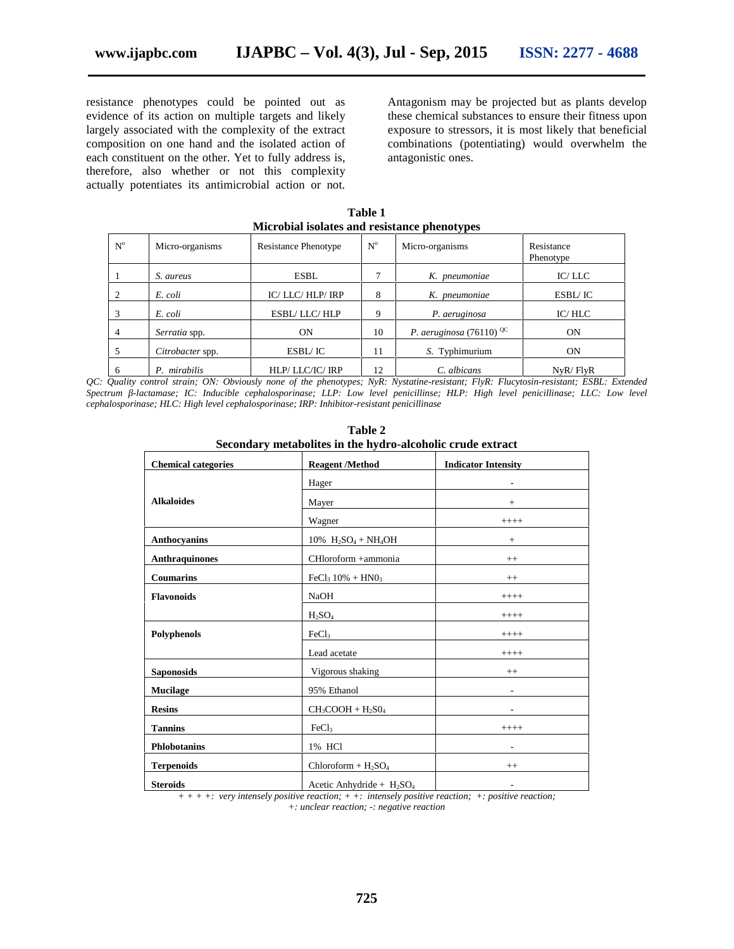resistance phenotypes could be pointed out as evidence of its action on multiple targets and likely largely associated with the complexity of the extract composition on one hand and the isolated action of each constituent on the other. Yet to fully address is, therefore, also whether or not this complexity actually potentiates its antimicrobial action or not.

Antagonism may be projected but as plants develop these chemical substances to ensure their fitness upon exposure to stressors, it is most likely that beneficial combinations (potentiating) would overwhelm the antagonistic ones.

**Table 1 Microbial isolates and resistance phenotypes**

| $N^{o}$        | Micro-organisms  | <b>Resistance Phenotype</b> | $N^{\rm o}$ | Micro-organisms                    | Resistance<br>Phenotype |
|----------------|------------------|-----------------------------|-------------|------------------------------------|-------------------------|
|                | S. aureus        | <b>ESBL</b>                 |             | K. pneumoniae                      | IC/LLC                  |
| 2              | E. coli          | IC/LLC/HLP/IRP              | 8           | K. pneumoniae                      | ESBL/IC                 |
| 3              | E. coli          | ESBL/LLC/HLP                | 9           | P. aeruginosa                      | IC/HLC                  |
| $\overline{4}$ | Serratia spp.    | <b>ON</b>                   | 10          | P. aeruginosa (76110) $\rm{^{QC}}$ | <b>ON</b>               |
|                | Citrobacter spp. | ESBL/ IC                    | 11          | S. Typhimurium                     | <b>ON</b>               |
| 6              | P. mirabilis     | HLP/LLC/IC/IRP              | 12          | C. albicans                        | NyR/FlyR                |

*QC: Quality control strain; ON: Obviously none of the phenotypes; NyR: Nystatine-resistant; FlyR: Flucytosin-resistant; ESBL: Extended Spectrum -lactamase; IC: Inducible cephalosporinase; LLP: Low level penicillinse; HLP: High level penicillinase; LLC: Low level cephalosporinase; HLC: High level cephalosporinase; IRP: Inhibitor-resistant penicillinase*

| secondary inclusomes in the hydro-alcohone crude extract<br><b>Chemical categories</b><br><b>Reagent /Method</b><br><b>Indicator Intensity</b> |                                                            |                          |  |  |
|------------------------------------------------------------------------------------------------------------------------------------------------|------------------------------------------------------------|--------------------------|--|--|
|                                                                                                                                                |                                                            |                          |  |  |
|                                                                                                                                                | Hager                                                      |                          |  |  |
| <b>Alkaloides</b>                                                                                                                              | Mayer                                                      | $+$                      |  |  |
|                                                                                                                                                | Wagner                                                     | $++++$                   |  |  |
| Anthocyanins                                                                                                                                   | $10\%$ H <sub>2</sub> SO <sub>4</sub> + NH <sub>4</sub> OH | $^{+}$                   |  |  |
| <b>Anthraquinones</b>                                                                                                                          | CHloroform +ammonia                                        | $^{++}$                  |  |  |
| <b>Coumarins</b>                                                                                                                               | $FeCl3 10% + HNO3$                                         | $^{++}$                  |  |  |
| <b>Flavonoids</b>                                                                                                                              | NaOH                                                       | $++++$                   |  |  |
|                                                                                                                                                | H <sub>2</sub> SO <sub>4</sub>                             | $++++$                   |  |  |
| Polyphenols                                                                                                                                    | FeCl <sub>3</sub>                                          | $++++$                   |  |  |
|                                                                                                                                                | Lead acetate                                               | $+++++$                  |  |  |
| <b>Saponosids</b>                                                                                                                              | Vigorous shaking                                           | $^{++}$                  |  |  |
| <b>Mucilage</b>                                                                                                                                | 95% Ethanol                                                |                          |  |  |
| <b>Resins</b>                                                                                                                                  | $CH3COOH + H2SO4$                                          |                          |  |  |
| <b>Tannins</b>                                                                                                                                 | FeCl <sub>3</sub>                                          | $++++$                   |  |  |
| <b>Phlobotanins</b>                                                                                                                            | 1% HCl                                                     | $\overline{a}$           |  |  |
| <b>Terpenoids</b>                                                                                                                              | $Chloroform + H2SO4$                                       | $^{++}$                  |  |  |
| <b>Steroids</b>                                                                                                                                | Acetic Anhydride + $H_2SO_4$                               | $\overline{\phantom{a}}$ |  |  |

**Table 2 Secondary metabolites in the hydro-alcoholic crude extract**

*+ + + +: very intensely positive reaction; + +: intensely positive reaction; +: positive reaction; +: unclear reaction; -: negative reaction*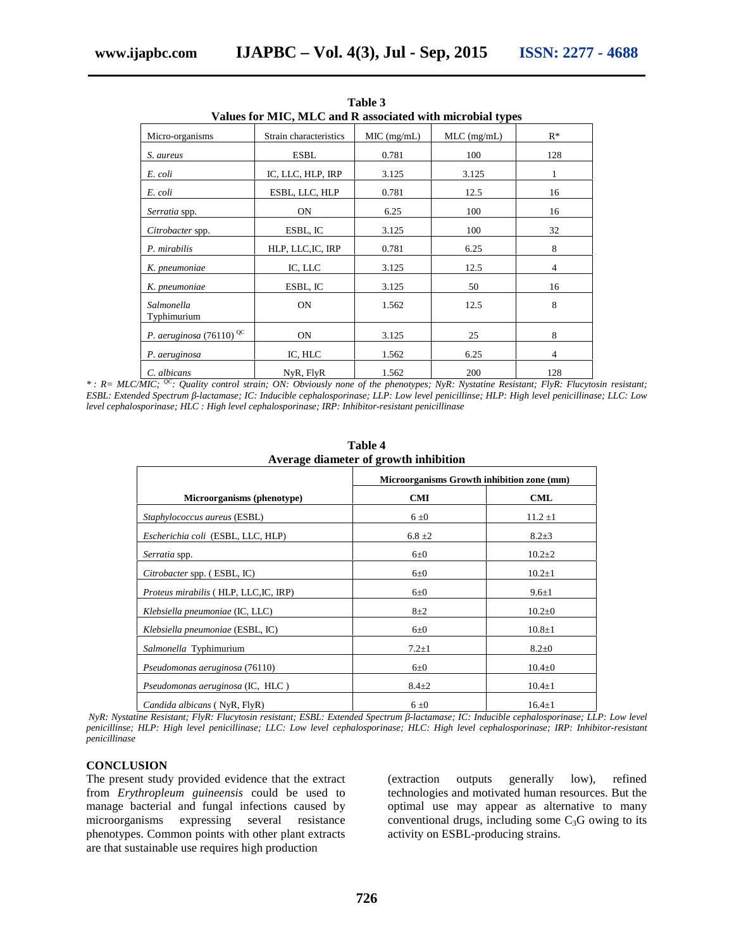| Values for MIC, MLC and R associated with microbial types |                        |             |               |                |
|-----------------------------------------------------------|------------------------|-------------|---------------|----------------|
| Micro-organisms                                           | Strain characteristics | MIC (mg/mL) | $MLC$ (mg/mL) | $R^*$          |
| S. aureus                                                 | <b>ESBL</b>            | 0.781       | 100           | 128            |
| E. coli                                                   | IC, LLC, HLP, IRP      | 3.125       | 3.125         | 1              |
| E. coli                                                   | ESBL, LLC, HLP         | 0.781       | 12.5          | 16             |
| Serratia spp.                                             | <b>ON</b>              | 6.25        | 100           | 16             |
| Citrobacter spp.                                          | ESBL, IC               | 3.125       | 100           | 32             |
| P. mirabilis                                              | HLP, LLC, IC, IRP      | 0.781       | 6.25          | 8              |
| K. pneumoniae                                             | IC, LLC                | 3.125       | 12.5          | $\overline{4}$ |
| K. pneumoniae                                             | ESBL, IC               | 3.125       | 50            | 16             |
| Salmonella<br>Typhimurium                                 | <b>ON</b>              | 1.562       | 12.5          | 8              |
| P. aeruginosa (76110) <sup>QC</sup>                       | <b>ON</b>              | 3.125       | 25            | 8              |
| P. aeruginosa                                             | IC, HLC                | 1.562       | 6.25          | $\overline{4}$ |
| C. albicans                                               | NyR, FlyR              | 1.562       | 200           | 128            |

**Table 3**

*\* : R= MLC/MIC; QC: Quality control strain; ON: Obviously none of the phenotypes; NyR: Nystatine Resistant; FlyR: Flucytosin resistant; ESBL: Extended Spectrum -lactamase; IC: Inducible cephalosporinase; LLP: Low level penicillinse; HLP: High level penicillinase; LLC: Low level cephalosporinase; HLC : High level cephalosporinase; IRP: Inhibitor-resistant penicillinase*

| Average manneler or growth minimum    |                                            |              |  |  |  |
|---------------------------------------|--------------------------------------------|--------------|--|--|--|
|                                       | Microorganisms Growth inhibition zone (mm) |              |  |  |  |
| Microorganisms (phenotype)            | <b>CMI</b>                                 | <b>CML</b>   |  |  |  |
| Staphylococcus aureus (ESBL)          | 6±0                                        | $11.2 \pm 1$ |  |  |  |
| Escherichia coli (ESBL, LLC, HLP)     | $6.8 \pm 2$                                | $8.2 + 3$    |  |  |  |
| Serratia spp.                         | $6\pm0$                                    | $10.2 \pm 2$ |  |  |  |
| Citrobacter spp. (ESBL, IC)           | $6\pm0$                                    | $10.2 \pm 1$ |  |  |  |
| Proteus mirabilis (HLP, LLC, IC, IRP) | $6\pm0$                                    | $9.6 \pm 1$  |  |  |  |
| Klebsiella pneumoniae (IC, LLC)       | $8 + 2$                                    | $10.2 \pm 0$ |  |  |  |
| Klebsiella pneumoniae (ESBL, IC)      | $6\pm0$                                    | $10.8 \pm 1$ |  |  |  |
| Salmonella Typhimurium                | $7.2 \pm 1$                                | $8.2 \pm 0$  |  |  |  |
| Pseudomonas aeruginosa (76110)        | $6\pm0$                                    | $10.4 \pm 0$ |  |  |  |
| Pseudomonas aeruginosa (IC, HLC)      | $8.4 + 2$                                  | $10.4 + 1$   |  |  |  |
| Candida albicans (NyR, FlyR)          | 6±0                                        | $16.4 \pm 1$ |  |  |  |

**Table 4 Average diameter of growth inhibition**

*NyR: Nystatine Resistant; FlyR: Flucytosin resistant; ESBL: Extended Spectrum -lactamase; IC: Inducible cephalosporinase; LLP: Low level penicillinse; HLP: High level penicillinase; LLC: Low level cephalosporinase; HLC: High level cephalosporinase; IRP: Inhibitor-resistant penicillinase*

#### **CONCLUSION**

The present study provided evidence that the extract from *Erythropleum guineensis* could be used to manage bacterial and fungal infections caused by microorganisms expressing several resistance phenotypes. Common points with other plant extracts are that sustainable use requires high production

(extraction outputs generally low), refined technologies and motivated human resources. But the optimal use may appear as alternative to many conventional drugs, including some  $C_3G$  owing to its activity on ESBL-producing strains.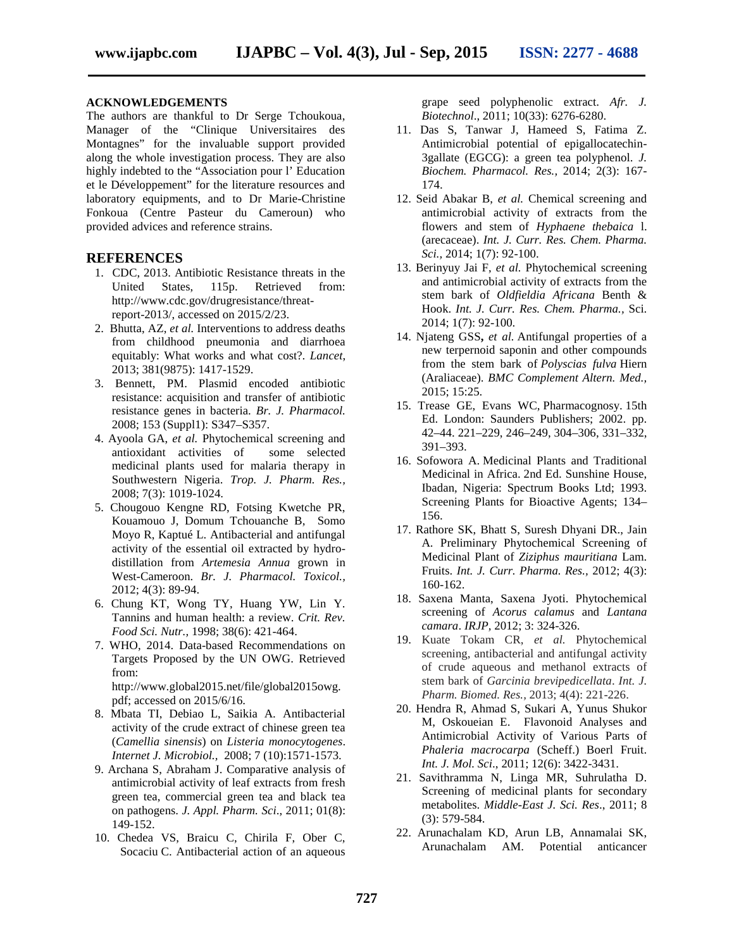#### **ACKNOWLEDGEMENTS**

The authors are thankful to Dr Serge Tchoukoua, Manager of the "Clinique Universitaires des Montagnes" for the invaluable support provided along the whole investigation process. They are also highly indebted to the "Association pour l' Education et le Développement" for the literature resources and laboratory equipments, and to Dr Marie-Christine Fonkoua (Centre Pasteur du Cameroun) who provided advices and reference strains.

#### **REFERENCES**

- 1. CDC, 2013. Antibiotic Resistance threats in the United States, 115p. Retrieved from: http://www.cdc.gov/drugresistance/threatreport-2013/, accessed on 2015/2/23.
- 2. Bhutta, AZ, *et al.* Interventions to address deaths from childhood pneumonia and diarrhoea equitably: What works and what cost?*. Lancet*, 2013; 381(9875): 1417-1529.
- 3. Bennett, PM. Plasmid encoded antibiotic resistance: acquisition and transfer of antibiotic resistance genes in bacteria. *Br. J. Pharmacol.* 2008; 153 (Suppl1): S347–S357.
- 4. Ayoola GA, *et al.* Phytochemical screening and antioxidant activities of some selected medicinal plants used for malaria therapy in Southwestern Nigeria. *Trop. J. Pharm. Res.,* 2008; 7(3): 1019-1024.
- 5. Chougouo Kengne RD, Fotsing Kwetche PR, Kouamouo J, Domum Tchouanche B, Somo Moyo R, Kaptué L. Antibacterial and antifungal activity of the essential oil extracted by hydro distillation from *Artemesia Annua* grown in West-Cameroon. *Br. J. Pharmacol. Toxicol.,* 2012; 4(3): 89-94.
- 6. Chung KT, Wong TY, Huang YW, Lin Y. Tannins and human health: a review. *Crit. Rev. Food Sci. Nutr.,* 1998; 38(6): 421-464.
- 7. WHO, 2014. Data-based Recommendations on Targets Proposed by the UN OWG. Retrieved from: http://www.global2015.net/file/global2015owg.

pdf; accessed on 2015/6/16.

- 8. Mbata TI, Debiao L, Saikia A. Antibacterial activity of the crude extract of chinese green tea (*Camellia sinensis*) on *Listeria monocytogenes*. *Internet J. Microbiol.,* 2008; 7 (10):1571-1573.
- 9. Archana S, Abraham J. Comparative analysis of antimicrobial activity of leaf extracts from fresh green tea, commercial green tea and black tea on pathogens. *J. Appl. Pharm. Sci*., 2011; 01(8): 149-152.
- 10. Chedea VS, Braicu C, Chirila F, Ober C, Socaciu C. Antibacterial action of an aqueous

grape seed polyphenolic extract. *Afr. J. Biotechnol*., 2011; 10(33): 6276-6280.

- 11. Das S, Tanwar J, Hameed S, Fatima Z. Antimicrobial potential of epigallocatechin- 3gallate (EGCG): a green tea polyphenol. *J. Biochem. Pharmacol. Res.,* 2014; 2(3): 167- 174.
- 12. Seid Abakar B, *et al.* Chemical screening and antimicrobial activity of extracts from the flowers and stem of *Hyphaene thebaica* l. (arecaceae). *Int. J. Curr. Res. Chem. Pharma. Sci.,* 2014; 1(7): 92-100.
- 13. Berinyuy Jai F, *et al.* Phytochemical screening and antimicrobial activity of extracts from the stem bark of *Oldfieldia Africana* Benth & Hook. *Int. J. Curr. Res. Chem. Pharma.,* Sci. 2014; 1(7): 92-100.
- 14. Njateng GSS**,** *et al.* Antifungal properties of a new terpernoid saponin and other compounds from the stem bark of *Polyscias fulva* Hiern (Araliaceae). *BMC Complement Altern. Med.,* 2015; 15:25.
- 15. Trease GE, Evans WC, Pharmacognosy. 15th Ed. London: Saunders Publishers; 2002. pp. 42–44. 221–229, 246–249, 304–306, 331–332, 391–393.
- 16. Sofowora A. Medicinal Plants and Traditional Medicinal in Africa. 2nd Ed. Sunshine House, Ibadan, Nigeria: Spectrum Books Ltd; 1993. Screening Plants for Bioactive Agents; 134– 156.
- 17. Rathore SK, Bhatt S, Suresh Dhyani DR., Jain A. Preliminary Phytochemical Screening of Medicinal Plant of *Ziziphus mauritiana* Lam. Fruits. *Int. J. Curr. Pharma. Res.,* 2012; 4(3): 160-162.
- 18. Saxena Manta, Saxena Jyoti. Phytochemical screening of *Acorus calamus* and *Lantana camara*. *IRJP,* 2012; 3: 324-326.
- 19. Kuate Tokam CR, *et al.* Phytochemical screening, antibacterial and antifungal activity of crude aqueous and methanol extracts of stem bark of *Garcinia brevipedicellata*. *Int. J. Pharm. Biomed. Res.,* 2013; 4(4): 221-226.
- 20. Hendra R, Ahmad S, Sukari A, Yunus Shukor M, Oskoueian E. Flavonoid Analyses and Antimicrobial Activity of Various Parts of *Phaleria macrocarpa* (Scheff.) Boerl Fruit. *Int. J. Mol. Sci*., 2011; 12(6): 3422-3431.
- 21. Savithramma N, Linga MR, Suhrulatha D. Screening of medicinal plants for secondary metabolites. *Middle-East J. Sci. Res*., 2011; 8 (3): 579-584.
- 22. Arunachalam KD, Arun LB, Annamalai SK, Arunachalam AM. Potential anticancer